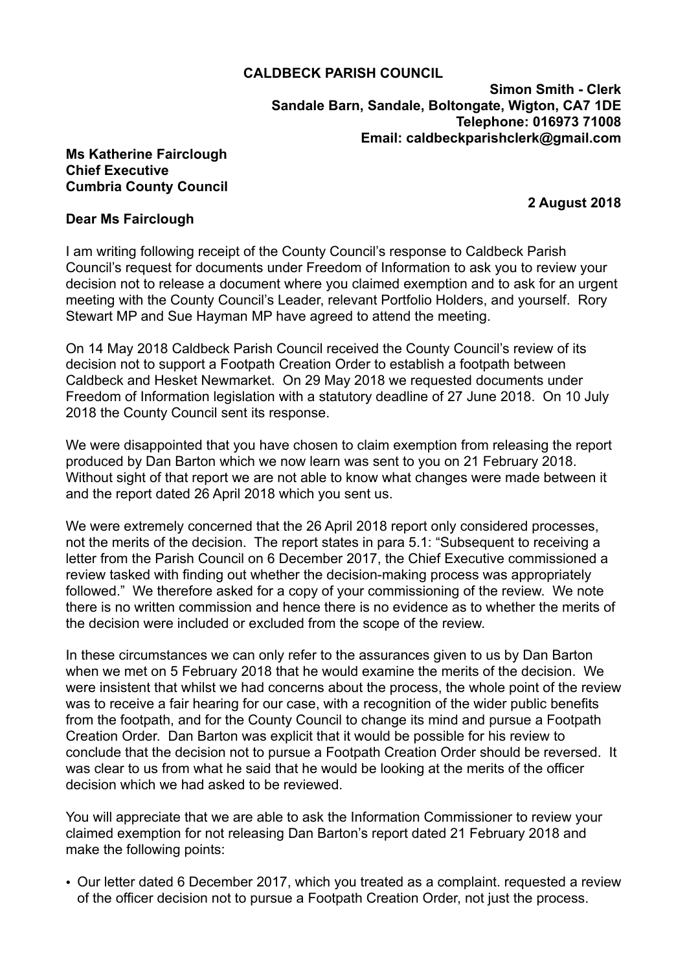## **CALDBECK PARISH COUNCIL**

**Simon Smith - Clerk Sandale Barn, Sandale, Boltongate, Wigton, CA7 1DE Telephone: 016973 71008 Email: [caldbeckparishclerk@gmail.com](mailto:caldbeckparishclerk@gmail.com)** 

## **Ms Katherine Fairclough Chief Executive Cumbria County Council**

 **2 August 2018**

## **Dear Ms Fairclough**

I am writing following receipt of the County Council's response to Caldbeck Parish Council's request for documents under Freedom of Information to ask you to review your decision not to release a document where you claimed exemption and to ask for an urgent meeting with the County Council's Leader, relevant Portfolio Holders, and yourself. Rory Stewart MP and Sue Hayman MP have agreed to attend the meeting.

On 14 May 2018 Caldbeck Parish Council received the County Council's review of its decision not to support a Footpath Creation Order to establish a footpath between Caldbeck and Hesket Newmarket. On 29 May 2018 we requested documents under Freedom of Information legislation with a statutory deadline of 27 June 2018. On 10 July 2018 the County Council sent its response.

We were disappointed that you have chosen to claim exemption from releasing the report produced by Dan Barton which we now learn was sent to you on 21 February 2018. Without sight of that report we are not able to know what changes were made between it and the report dated 26 April 2018 which you sent us.

We were extremely concerned that the 26 April 2018 report only considered processes. not the merits of the decision. The report states in para 5.1: "Subsequent to receiving a letter from the Parish Council on 6 December 2017, the Chief Executive commissioned a review tasked with finding out whether the decision-making process was appropriately followed." We therefore asked for a copy of your commissioning of the review. We note there is no written commission and hence there is no evidence as to whether the merits of the decision were included or excluded from the scope of the review.

In these circumstances we can only refer to the assurances given to us by Dan Barton when we met on 5 February 2018 that he would examine the merits of the decision. We were insistent that whilst we had concerns about the process, the whole point of the review was to receive a fair hearing for our case, with a recognition of the wider public benefits from the footpath, and for the County Council to change its mind and pursue a Footpath Creation Order. Dan Barton was explicit that it would be possible for his review to conclude that the decision not to pursue a Footpath Creation Order should be reversed. It was clear to us from what he said that he would be looking at the merits of the officer decision which we had asked to be reviewed.

You will appreciate that we are able to ask the Information Commissioner to review your claimed exemption for not releasing Dan Barton's report dated 21 February 2018 and make the following points:

• Our letter dated 6 December 2017, which you treated as a complaint. requested a review of the officer decision not to pursue a Footpath Creation Order, not just the process.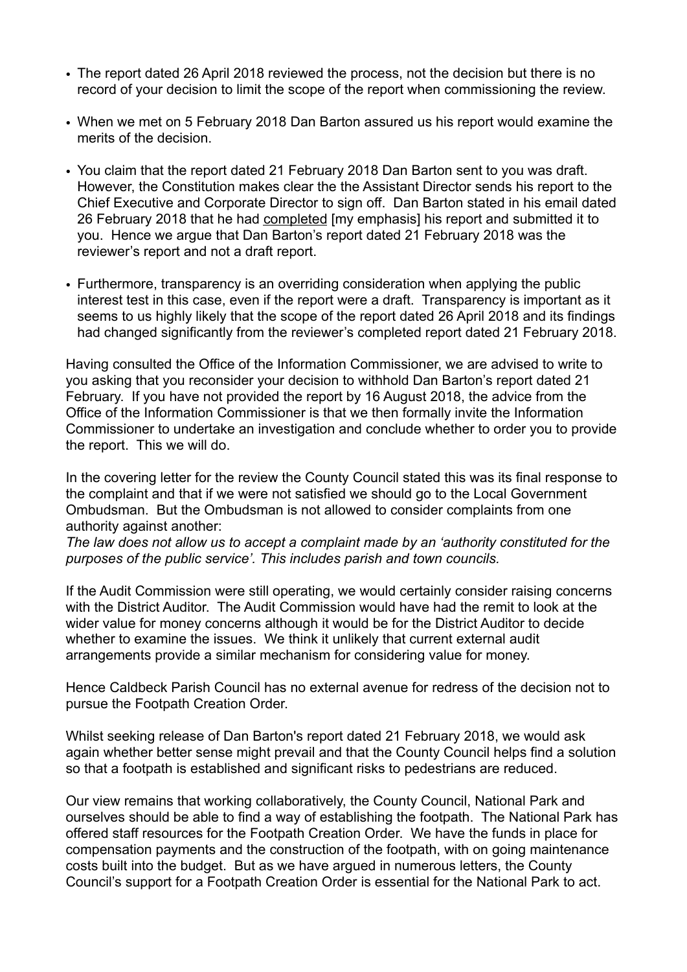- The report dated 26 April 2018 reviewed the process, not the decision but there is no record of your decision to limit the scope of the report when commissioning the review.
- When we met on 5 February 2018 Dan Barton assured us his report would examine the merits of the decision.
- You claim that the report dated 21 February 2018 Dan Barton sent to you was draft. However, the Constitution makes clear the the Assistant Director sends his report to the Chief Executive and Corporate Director to sign off. Dan Barton stated in his email dated 26 February 2018 that he had completed [my emphasis] his report and submitted it to you. Hence we argue that Dan Barton's report dated 21 February 2018 was the reviewer's report and not a draft report.
- Furthermore, transparency is an overriding consideration when applying the public interest test in this case, even if the report were a draft. Transparency is important as it seems to us highly likely that the scope of the report dated 26 April 2018 and its findings had changed significantly from the reviewer's completed report dated 21 February 2018.

Having consulted the Office of the Information Commissioner, we are advised to write to you asking that you reconsider your decision to withhold Dan Barton's report dated 21 February. If you have not provided the report by 16 August 2018, the advice from the Office of the Information Commissioner is that we then formally invite the Information Commissioner to undertake an investigation and conclude whether to order you to provide the report. This we will do.

In the covering letter for the review the County Council stated this was its final response to the complaint and that if we were not satisfied we should go to the Local Government Ombudsman. But the Ombudsman is not allowed to consider complaints from one authority against another:

*The law does not allow us to accept a complaint made by an 'authority constituted for the purposes of the public service'. This includes parish and town councils.*

If the Audit Commission were still operating, we would certainly consider raising concerns with the District Auditor. The Audit Commission would have had the remit to look at the wider value for money concerns although it would be for the District Auditor to decide whether to examine the issues. We think it unlikely that current external audit arrangements provide a similar mechanism for considering value for money.

Hence Caldbeck Parish Council has no external avenue for redress of the decision not to pursue the Footpath Creation Order.

Whilst seeking release of Dan Barton's report dated 21 February 2018, we would ask again whether better sense might prevail and that the County Council helps find a solution so that a footpath is established and significant risks to pedestrians are reduced.

Our view remains that working collaboratively, the County Council, National Park and ourselves should be able to find a way of establishing the footpath. The National Park has offered staff resources for the Footpath Creation Order. We have the funds in place for compensation payments and the construction of the footpath, with on going maintenance costs built into the budget. But as we have argued in numerous letters, the County Council's support for a Footpath Creation Order is essential for the National Park to act.